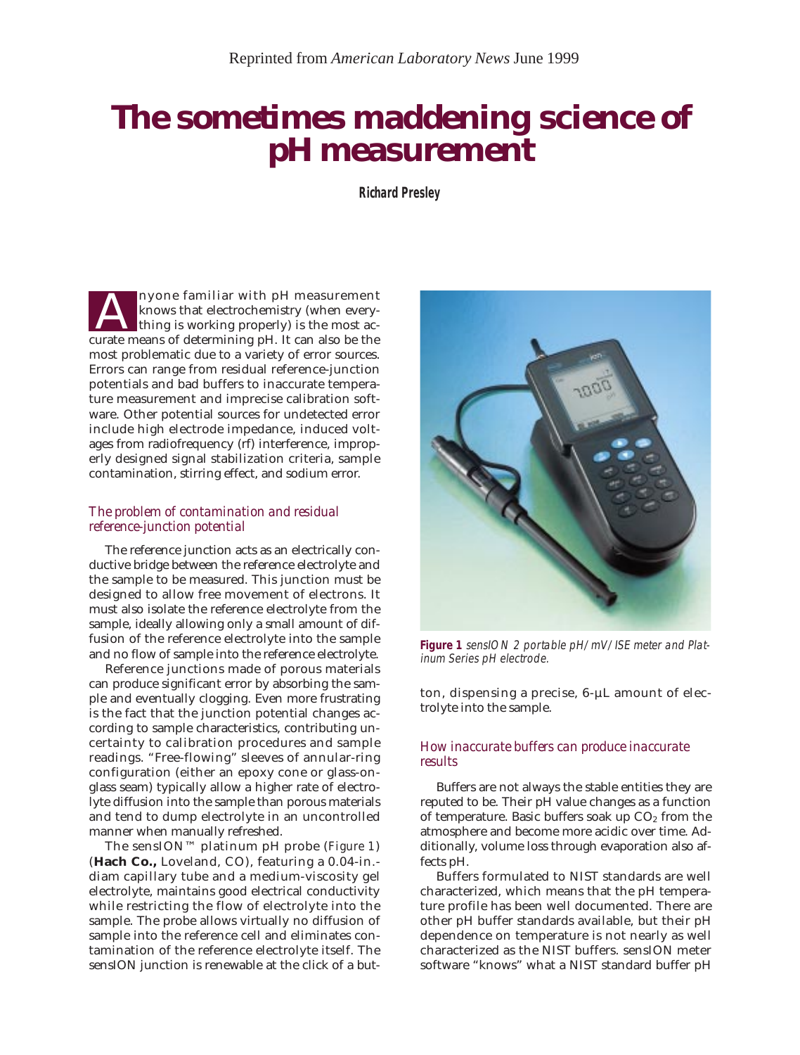# *The sometimes maddening science of pH measurement*

**Richard Presley**

nyone familiar with pH measurement knows that electrochemistry (when everything is working properly) is the most ac-The measurement and the pH measurement shows that electrochemistry (when every-<br>thing is working properly) is the most ac-<br>curate means of determining pH. It can also be the most problematic due to a variety of error sources. Errors can range from residual reference-junction potentials and bad buffers to inaccurate temperature measurement and imprecise calibration software. Other potential sources for undetected error include high electrode impedance, induced voltages from radiofrequency (rf) interference, improperly designed signal stabilization criteria, sample contamination, stirring effect, and sodium error.

## *The problem of contamination and residual reference-junction potential*

The reference junction acts as an electrically conductive bridge between the reference electrolyte and the sample to be measured. This junction must be designed to allow free movement of electrons. It must also isolate the reference electrolyte from the sample, ideally allowing only a small amount of diffusion of the reference electrolyte into the sample and no flow of sample into the reference electrolyte.

Reference junctions made of porous materials can produce significant error by absorbing the sample and eventually clogging. Even more frustrating is the fact that the junction potential changes according to sample characteristics, contributing uncertainty to calibration procedures and sample readings. "Free-flowing" sleeves of annular-ring configuration (either an epoxy cone or glass-onglass seam) typically allow a higher rate of electrolyte diffusion into the sample than porous materials and tend to dump electrolyte in an uncontrolled manner when manually refreshed.

The sensION™ platinum pH probe (*Figure 1*) (**Hach Co.,** Loveland, CO), featuring a 0.04-in. diam capillary tube and a medium-viscosity gel electrolyte, maintains good electrical conductivity while restricting the flow of electrolyte into the sample. The probe allows virtually no diffusion of sample into the reference cell and eliminates contamination of the reference electrolyte itself. The sensION junction is renewable at the click of a but-



**Figure 1** sensION 2 portable pH/mV/ISE meter and Platinum Series pH electrode.

ton, dispensing a precise, 6-µL amount of electrolyte into the sample.

## *How inaccurate buffers can produce inaccurate results*

Buffers are not always the stable entities they are reputed to be. Their pH value changes as a function of temperature. Basic buffers soak up  $CO<sub>2</sub>$  from the atmosphere and become more acidic over time. Additionally, volume loss through evaporation also affects pH.

Buffers formulated to NIST standards are well characterized, which means that the pH temperature profile has been well documented. There are other pH buffer standards available, but their pH dependence on temperature is not nearly as well characterized as the NIST buffers. sensION meter software "knows" what a NIST standard buffer pH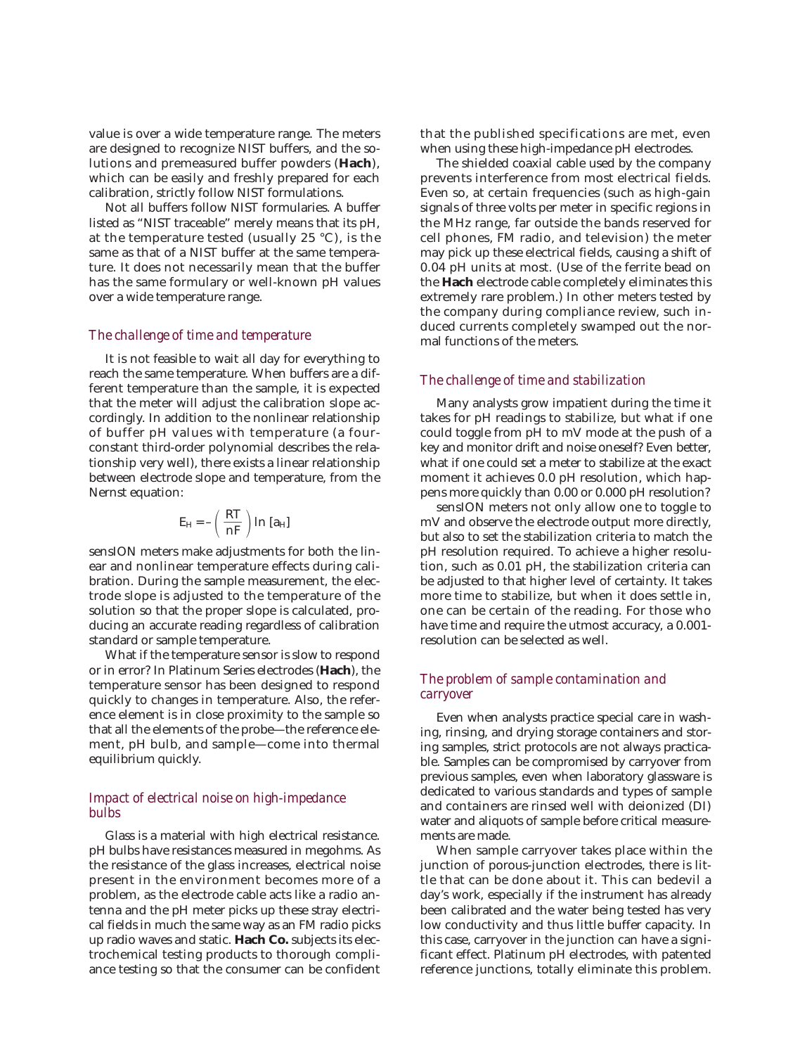value is over a wide temperature range. The meters are designed to recognize NIST buffers, and the solutions and premeasured buffer powders (**Hach**), which can be easily and freshly prepared for each calibration, strictly follow NIST formulations.

Not all buffers follow NIST formularies. A buffer listed as "NIST traceable" merely means that its pH, at the temperature tested (usually 25 °C), is the same as that of a NIST buffer at the same temperature. It does not necessarily mean that the buffer has the same formulary or well-known pH values over a wide temperature range.

#### *The challenge of time and temperature*

It is not feasible to wait all day for everything to reach the same temperature. When buffers are a different temperature than the sample, it is expected that the meter will adjust the calibration slope accordingly. In addition to the nonlinear relationship of buffer pH values with temperature (a fourconstant third-order polynomial describes the relationship very well), there exists a linear relationship between electrode slope and temperature, from the Nernst equation:

$$
E_H = -\left(\frac{RT}{nF}\right) \ln\left[a_H\right]
$$

sensION meters make adjustments for both the linear and nonlinear temperature effects during calibration. During the sample measurement, the electrode slope is adjusted to the temperature of the solution so that the proper slope is calculated, producing an accurate reading regardless of calibration standard or sample temperature.

What if the temperature sensor is slow to respond or in error? In Platinum Series electrodes (**Hach**), the temperature sensor has been designed to respond quickly to changes in temperature. Also, the reference element is in close proximity to the sample so that all the elements of the probe—the reference element, pH bulb, and sample—come into thermal equilibrium quickly.

## *Impact of electrical noise on high-impedance bulbs*

Glass is a material with high electrical resistance. pH bulbs have resistances measured in megohms. As the resistance of the glass increases, electrical noise present in the environment becomes more of a problem, as the electrode cable acts like a radio antenna and the pH meter picks up these stray electrical fields in much the same way as an FM radio picks up radio waves and static. **Hach Co.** subjects its electrochemical testing products to thorough compliance testing so that the consumer can be confident that the published specifications are met, even when using these high-impedance pH electrodes.

The shielded coaxial cable used by the company prevents interference from most electrical fields. Even so, at certain frequencies (such as high-gain signals of three volts per meter in specific regions in the MHz range, far outside the bands reserved for cell phones, FM radio, and television) the meter may pick up these electrical fields, causing a shift of 0.04 pH units at most. (Use of the ferrite bead on the **Hach** electrode cable completely eliminates this extremely rare problem.) In other meters tested by the company during compliance review, such induced currents completely swamped out the normal functions of the meters.

## *The challenge of time and stabilization*

Many analysts grow impatient during the time it takes for pH readings to stabilize, but what if one could toggle from pH to mV mode at the push of a key and monitor drift and noise oneself? Even better, what if one could set a meter to stabilize at the exact moment it achieves 0.0 pH resolution, which happens more quickly than 0.00 or 0.000 pH resolution?

sensION meters not only allow one to toggle to mV and observe the electrode output more directly, but also to set the stabilization criteria to match the pH resolution required. To achieve a higher resolution, such as 0.01 pH, the stabilization criteria can be adjusted to that higher level of certainty. It takes more time to stabilize, but when it does settle in, one can be certain of the reading. For those who have time and require the utmost accuracy, a 0.001 resolution can be selected as well.

## *The problem of sample contamination and carryover*

Even when analysts practice special care in washing, rinsing, and drying storage containers and storing samples, strict protocols are not always practicable. Samples can be compromised by carryover from previous samples, even when laboratory glassware is dedicated to various standards and types of sample and containers are rinsed well with deionized (DI) water and aliquots of sample before critical measurements are made.

When sample carryover takes place within the junction of porous-junction electrodes, there is little that can be done about it. This can bedevil a day's work, especially if the instrument has already been calibrated and the water being tested has very low conductivity and thus little buffer capacity. In this case, carryover in the junction can have a significant effect. Platinum pH electrodes, with patented reference junctions, totally eliminate this problem.